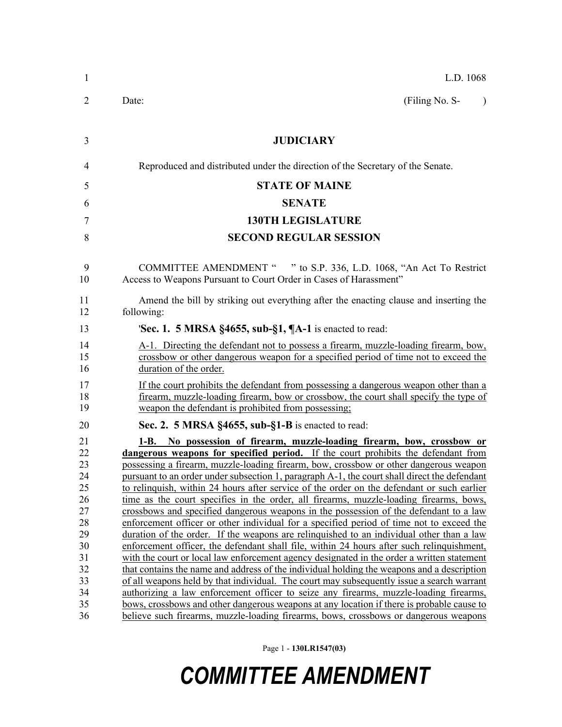| 1              | L.D. 1068                                                                                                                                                                                                                            |  |  |  |
|----------------|--------------------------------------------------------------------------------------------------------------------------------------------------------------------------------------------------------------------------------------|--|--|--|
| 2              | (Filing No. S-<br>Date:<br>$\lambda$                                                                                                                                                                                                 |  |  |  |
| 3              | <b>JUDICIARY</b>                                                                                                                                                                                                                     |  |  |  |
| 4              | Reproduced and distributed under the direction of the Secretary of the Senate.                                                                                                                                                       |  |  |  |
| 5              | <b>STATE OF MAINE</b>                                                                                                                                                                                                                |  |  |  |
| 6              | <b>SENATE</b>                                                                                                                                                                                                                        |  |  |  |
| 7              | <b>130TH LEGISLATURE</b>                                                                                                                                                                                                             |  |  |  |
| 8              | <b>SECOND REGULAR SESSION</b>                                                                                                                                                                                                        |  |  |  |
| 9<br>10        | COMMITTEE AMENDMENT " " to S.P. 336, L.D. 1068, "An Act To Restrict<br>Access to Weapons Pursuant to Court Order in Cases of Harassment"                                                                                             |  |  |  |
| 11<br>12       | Amend the bill by striking out everything after the enacting clause and inserting the<br>following:                                                                                                                                  |  |  |  |
| 13             | <b>Sec. 1. 5 MRSA §4655, sub-§1, <math>\P</math>A-1</b> is enacted to read:                                                                                                                                                          |  |  |  |
| 14<br>15<br>16 | A-1. Directing the defendant not to possess a firearm, muzzle-loading firearm, bow,<br>crossbow or other dangerous weapon for a specified period of time not to exceed the<br>duration of the order.                                 |  |  |  |
| 17<br>18<br>19 | If the court prohibits the defendant from possessing a dangerous weapon other than a<br>firearm, muzzle-loading firearm, bow or crossbow, the court shall specify the type of<br>weapon the defendant is prohibited from possessing; |  |  |  |
| 20             | Sec. 2. 5 MRSA §4655, sub-§1-B is enacted to read:                                                                                                                                                                                   |  |  |  |
| 21<br>22       | 1-B. No possession of firearm, muzzle-loading firearm, bow, crossbow or<br>dangerous weapons for specified period. If the court prohibits the defendant from                                                                         |  |  |  |
| 23<br>24       | possessing a firearm, muzzle-loading firearm, bow, crossbow or other dangerous weapon<br>pursuant to an order under subsection 1, paragraph A-1, the court shall direct the defendant                                                |  |  |  |
| 25             | to relinquish, within 24 hours after service of the order on the defendant or such earlier                                                                                                                                           |  |  |  |
| 26             | time as the court specifies in the order, all firearms, muzzle-loading firearms, bows,                                                                                                                                               |  |  |  |
| 27             | crossbows and specified dangerous weapons in the possession of the defendant to a law                                                                                                                                                |  |  |  |
| 28             | enforcement officer or other individual for a specified period of time not to exceed the                                                                                                                                             |  |  |  |
| 29             | duration of the order. If the weapons are relinquished to an individual other than a law                                                                                                                                             |  |  |  |
| 30             | enforcement officer, the defendant shall file, within 24 hours after such relinquishment,                                                                                                                                            |  |  |  |
| 31             | with the court or local law enforcement agency designated in the order a written statement                                                                                                                                           |  |  |  |
| 32             | that contains the name and address of the individual holding the weapons and a description                                                                                                                                           |  |  |  |
| 33             | of all weapons held by that individual. The court may subsequently issue a search warrant                                                                                                                                            |  |  |  |
| 34             | authorizing a law enforcement officer to seize any firearms, muzzle-loading firearms,                                                                                                                                                |  |  |  |
| 35<br>36       | bows, crossbows and other dangerous weapons at any location if there is probable cause to<br>believe such firearms, muzzle-loading firearms, bows, crossbows or dangerous weapons                                                    |  |  |  |

Page 1 - **130LR1547(03)**

# *COMMITTEE AMENDMENT*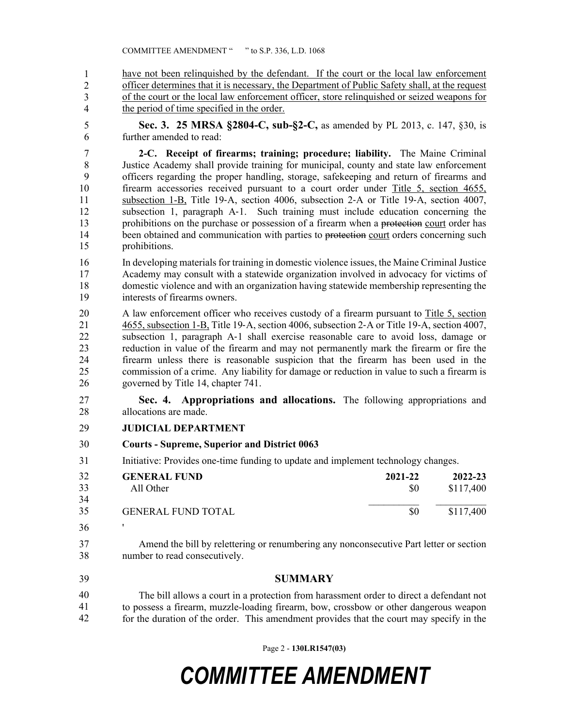have not been relinquished by the defendant. If the court or the local law enforcement officer determines that it is necessary, the Department of Public Safety shall, at the request of the court or the local law enforcement officer, store relinquished or seized weapons for the period of time specified in the order. 1 2 3 4

5 **Sec. 3. 25 MRSA §2804-C, sub-§2-C,** as amended by PL 2013, c. 147, §30, is 6 further amended to read:

7 **2-C. Receipt of firearms; training; procedure; liability.** The Maine Criminal 8 Justice Academy shall provide training for municipal, county and state law enforcement 9 officers regarding the proper handling, storage, safekeeping and return of firearms and 10 firearm accessories received pursuant to a court order under Title 5, section 4655, 11 subsection 1-B, Title 19‑A, section 4006, subsection 2‑A or Title 19‑A, section 4007, 12 subsection 1, paragraph A-1. Such training must include education concerning the 13 prohibitions on the purchase or possession of a firearm when a protection court order has 14 been obtained and communication with parties to protection court orders concerning such 15 prohibitions.

16 In developing materials for training in domestic violence issues, the Maine Criminal Justice 17 Academy may consult with a statewide organization involved in advocacy for victims of 18 domestic violence and with an organization having statewide membership representing the 19 interests of firearms owners.

20 A law enforcement officer who receives custody of a firearm pursuant to Title 5, section 21 4655, subsection 1-B, Title 19‑A, section 4006, subsection 2‑A or Title 19‑A, section 4007, 22 subsection 1, paragraph A‑1 shall exercise reasonable care to avoid loss, damage or 23 reduction in value of the firearm and may not permanently mark the firearm or fire the 24 firearm unless there is reasonable suspicion that the firearm has been used in the 25 commission of a crime. Any liability for damage or reduction in value to such a firearm is 26 governed by Title 14, chapter 741.

27 **Sec. 4. Appropriations and allocations.** The following appropriations and 28 allocations are made.

#### 29 **JUDICIAL DEPARTMENT**

- 30 **Courts Supreme, Superior and District 0063**
- 31 Initiative: Provides one-time funding to update and implement technology changes.

| 32 | <b>GENERAL FUND</b>       | 2021-22 | 2022-23   |
|----|---------------------------|---------|-----------|
| 33 | All Other                 | \$0     | \$117,400 |
| 34 |                           |         |           |
| 35 | <b>GENERAL FUND TOTAL</b> | \$0     | \$117,400 |
| 36 |                           |         |           |

- 37 Amend the bill by relettering or renumbering any nonconsecutive Part letter or section 38 number to read consecutively.
- 39 **SUMMARY**

40 The bill allows a court in a protection from harassment order to direct a defendant not 41 to possess a firearm, muzzle-loading firearm, bow, crossbow or other dangerous weapon for the duration of the order. This amendment provides that the court may specify in the 40 41 42

Page 2 - **130LR1547(03)**

## *COMMITTEE AMENDMENT*